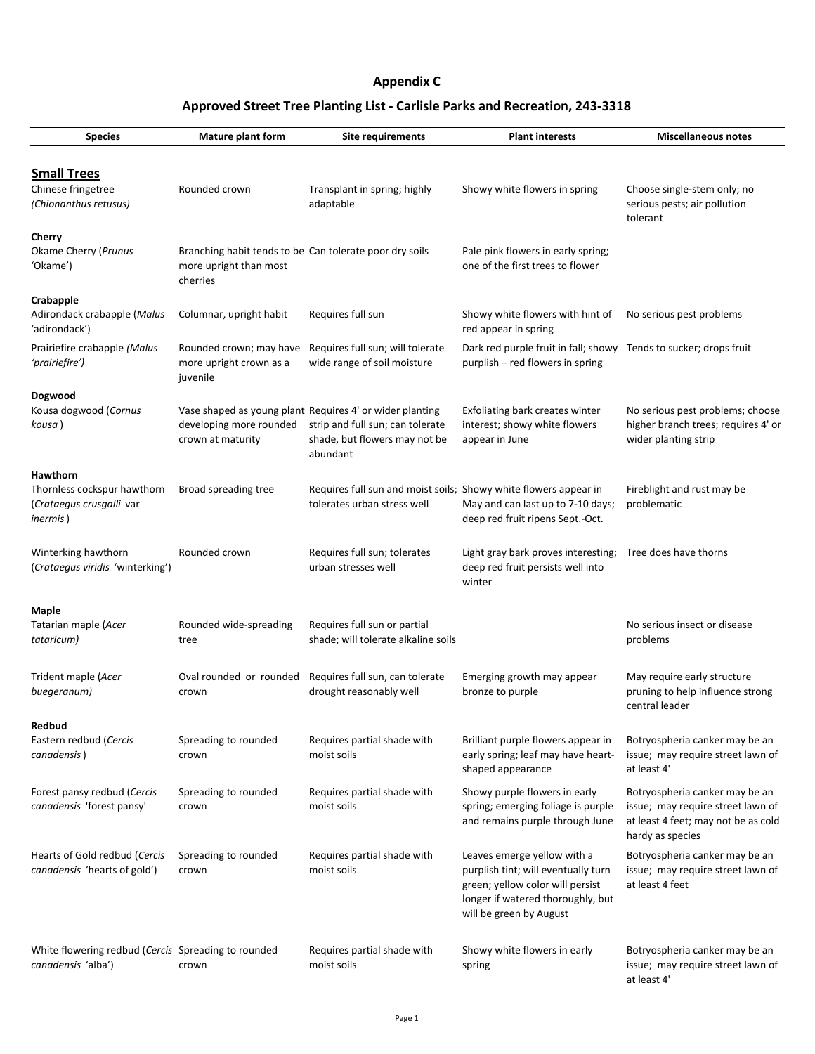| <b>Species</b>                                                                                 | <b>Mature plant form</b>                                                                      | <b>Site requirements</b>                                                                                                                  | <b>Plant interests</b>                                                                                | <b>Miscellaneous notes</b>                                                                      |
|------------------------------------------------------------------------------------------------|-----------------------------------------------------------------------------------------------|-------------------------------------------------------------------------------------------------------------------------------------------|-------------------------------------------------------------------------------------------------------|-------------------------------------------------------------------------------------------------|
| <b>Small Trees</b><br>Chinese fringetree<br>(Chionanthus retusus)                              | Rounded crown                                                                                 | Transplant in spring; highly<br>adaptable                                                                                                 | Showy white flowers in spring                                                                         | Choose single-stem only; no<br>serious pests; air pollution<br>tolerant                         |
| <b>Cherry</b><br><b>Okame Cherry (Prunus</b><br>'Okame')                                       | Branching habit tends to be Can tolerate poor dry soils<br>more upright than most<br>cherries |                                                                                                                                           | Pale pink flowers in early spring;<br>one of the first trees to flower                                |                                                                                                 |
| <b>Crabapple</b><br>Adirondack crabapple (Malus<br>'adirondack')                               | Columnar, upright habit                                                                       | Requires full sun                                                                                                                         | Showy white flowers with hint of<br>red appear in spring                                              | No serious pest problems                                                                        |
| Prairiefire crabapple (Malus<br>'prairiefire')                                                 | Rounded crown; may have<br>more upright crown as a<br>juvenile                                | Requires full sun; will tolerate<br>wide range of soil moisture                                                                           | Dark red purple fruit in fall; showy Tends to sucker; drops fruit<br>purplish - red flowers in spring |                                                                                                 |
| <b>Dogwood</b><br>Kousa dogwood (Cornus<br>kousa)                                              | developing more rounded<br>crown at maturity                                                  | Vase shaped as young plant Requires 4' or wider planting<br>strip and full sun; can tolerate<br>shade, but flowers may not be<br>abundant | Exfoliating bark creates winter<br>interest; showy white flowers<br>appear in June                    | No serious pest problems; choose<br>higher branch trees; requires 4' or<br>wider planting strip |
| <b>Hawthorn</b><br>Thornless cockspur hawthorn<br>(Crataegus crusgalli var<br><i>inermis</i> ) | Broad spreading tree                                                                          | Requires full sun and moist soils; Showy white flowers appear in<br>tolerates urban stress well                                           | May and can last up to 7-10 days;<br>deep red fruit ripens Sept.-Oct.                                 | Fireblight and rust may be<br>problematic                                                       |
| Winterking hawthorn<br>(Crataegus viridis 'winterking')                                        | Rounded crown                                                                                 | Requires full sun; tolerates<br>urban stresses well                                                                                       | Light gray bark proves interesting;<br>deep red fruit persists well into<br>winter                    | Tree does have thorns                                                                           |
| <b>Maple</b><br>Tatarian maple (Acer<br>tataricum)                                             | Rounded wide-spreading<br>tree                                                                | Requires full sun or partial<br>shade; will tolerate alkaline soils                                                                       |                                                                                                       | No serious insect or disease<br>problems                                                        |
| Trident maple (Acer<br>buegeranum)                                                             | Oval rounded or rounded<br>crown                                                              | Requires full sun, can tolerate<br>drought reasonably well                                                                                | Emerging growth may appear<br>bronze to purple                                                        | May require early structure<br>pruning to help influence strong<br>central leader               |

| <b>Redbud</b><br>Eastern redbud (Cercis<br>canadensis)                    | Spreading to rounded<br>crown | Requires partial shade with<br>moist soils | Brilliant purple flowers appear in<br>early spring; leaf may have heart-<br>shaped appearance                                                                          | Botryospheria canker may be an<br>issue; may require street lawn of<br>at least 4'                                             |
|---------------------------------------------------------------------------|-------------------------------|--------------------------------------------|------------------------------------------------------------------------------------------------------------------------------------------------------------------------|--------------------------------------------------------------------------------------------------------------------------------|
| Forest pansy redbud (Cercis<br>canadensis 'forest pansy'                  | Spreading to rounded<br>crown | Requires partial shade with<br>moist soils | Showy purple flowers in early<br>spring; emerging foliage is purple<br>and remains purple through June                                                                 | Botryospheria canker may be an<br>issue; may require street lawn of<br>at least 4 feet; may not be as cold<br>hardy as species |
| Hearts of Gold redbud (Cercis<br>canadensis 'hearts of gold')             | Spreading to rounded<br>crown | Requires partial shade with<br>moist soils | Leaves emerge yellow with a<br>purplish tint; will eventually turn<br>green; yellow color will persist<br>longer if watered thoroughly, but<br>will be green by August | Botryospheria canker may be an<br>issue; may require street lawn of<br>at least 4 feet                                         |
| White flowering redbud (Cercis Spreading to rounded<br>canadensis 'alba') | crown                         | Requires partial shade with<br>moist soils | Showy white flowers in early<br>spring                                                                                                                                 | Botryospheria canker may be an<br>issue; may require street lawn of<br>at least 4'                                             |

## **Approved Street Tree Planting List - Carlisle Parks and Recreation, 243-3318**

## **Appendix C**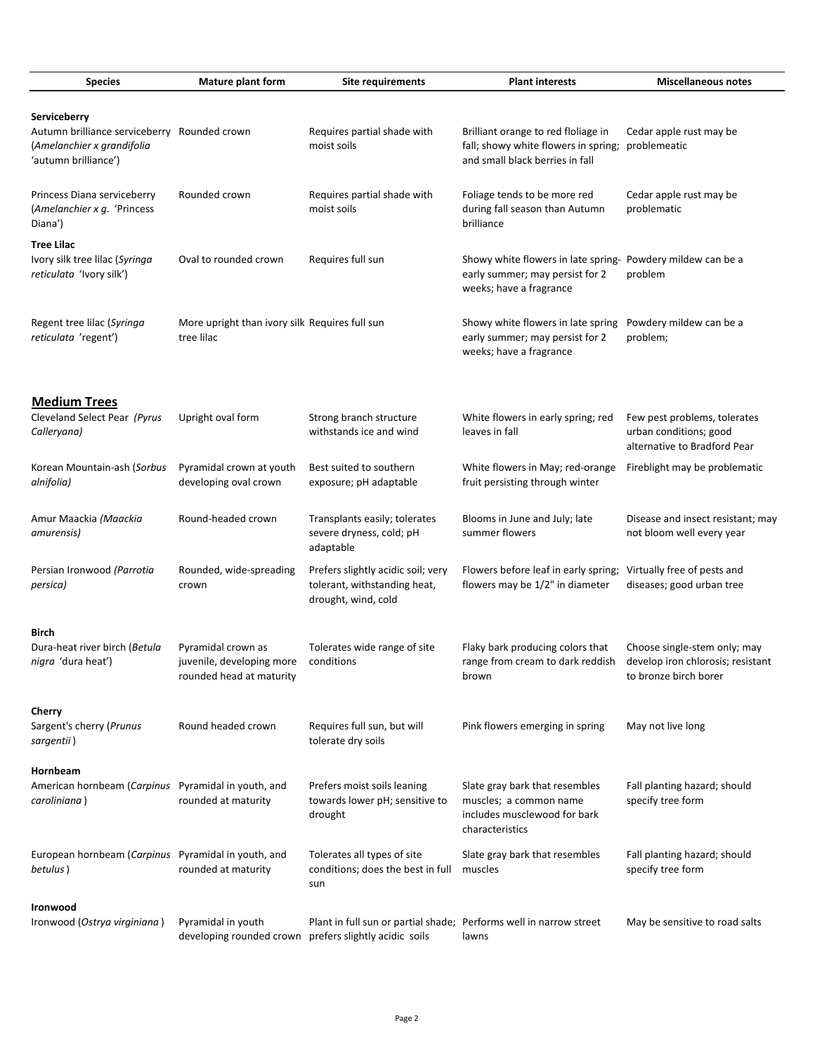| <b>Species</b>                                                                                       | <b>Mature plant form</b>                                                    | <b>Site requirements</b>                                                                  | <b>Plant interests</b>                                                                                                    | <b>Miscellaneous notes</b>                                                                 |
|------------------------------------------------------------------------------------------------------|-----------------------------------------------------------------------------|-------------------------------------------------------------------------------------------|---------------------------------------------------------------------------------------------------------------------------|--------------------------------------------------------------------------------------------|
| Serviceberry<br>Autumn brilliance serviceberry<br>(Amelanchier x grandifolia<br>'autumn brilliance') | Rounded crown                                                               | Requires partial shade with<br>moist soils                                                | Brilliant orange to red floliage in<br>fall; showy white flowers in spring;<br>and small black berries in fall            | Cedar apple rust may be<br>problemeatic                                                    |
| Princess Diana serviceberry<br>(Amelanchier x g. 'Princess<br>Diana')                                | Rounded crown                                                               | Requires partial shade with<br>moist soils                                                | Foliage tends to be more red<br>during fall season than Autumn<br>brilliance                                              | Cedar apple rust may be<br>problematic                                                     |
| <b>Tree Lilac</b><br>Ivory silk tree lilac (Syringa<br>reticulata 'Ivory silk')                      | Oval to rounded crown                                                       | Requires full sun                                                                         | Showy white flowers in late spring- Powdery mildew can be a<br>early summer; may persist for 2<br>weeks; have a fragrance | problem                                                                                    |
| Regent tree lilac (Syringa<br>reticulata 'regent')                                                   | More upright than ivory silk Requires full sun<br>tree lilac                |                                                                                           | Showy white flowers in late spring<br>early summer; may persist for 2<br>weeks; have a fragrance                          | Powdery mildew can be a<br>problem;                                                        |
| <b>Medium Trees</b><br>Cleveland Select Pear (Pyrus<br>Calleryana)                                   | Upright oval form                                                           | Strong branch structure<br>withstands ice and wind                                        | White flowers in early spring; red<br>leaves in fall                                                                      | Few pest problems, tolerates<br>urban conditions; good<br>alternative to Bradford Pear     |
| Korean Mountain-ash (Sorbus<br>alnifolia)                                                            | Pyramidal crown at youth<br>developing oval crown                           | Best suited to southern<br>exposure; pH adaptable                                         | White flowers in May; red-orange<br>fruit persisting through winter                                                       | Fireblight may be problematic                                                              |
| Amur Maackia (Maackia<br>amurensis)                                                                  | Round-headed crown                                                          | Transplants easily; tolerates<br>severe dryness, cold; pH<br>adaptable                    | Blooms in June and July; late<br>summer flowers                                                                           | Disease and insect resistant; may<br>not bloom well every year                             |
| Persian Ironwood (Parrotia<br><i>persica</i> )                                                       | Rounded, wide-spreading<br>crown                                            | Prefers slightly acidic soil; very<br>tolerant, withstanding heat,<br>drought, wind, cold | Flowers before leaf in early spring;<br>flowers may be 1/2" in diameter                                                   | Virtually free of pests and<br>diseases; good urban tree                                   |
| <b>Birch</b><br>Dura-heat river birch (Betula<br>nigra 'dura heat')                                  | Pyramidal crown as<br>juvenile, developing more<br>rounded head at maturity | Tolerates wide range of site<br>conditions                                                | Flaky bark producing colors that<br>range from cream to dark reddish<br>brown                                             | Choose single-stem only; may<br>develop iron chlorosis; resistant<br>to bronze birch borer |

| Sargent's cherry (Prunus<br>sargentii)                          | Round headed crown                             | Requires full sun, but will<br>tolerate dry soils                                                   | Pink flowers emerging in spring                                                                             | May not live long                                 |
|-----------------------------------------------------------------|------------------------------------------------|-----------------------------------------------------------------------------------------------------|-------------------------------------------------------------------------------------------------------------|---------------------------------------------------|
| Hornbeam                                                        |                                                |                                                                                                     |                                                                                                             |                                                   |
| American hornbeam (Carpinus<br>caroliniana)                     | Pyramidal in youth, and<br>rounded at maturity | Prefers moist soils leaning<br>towards lower pH; sensitive to<br>drought                            | Slate gray bark that resembles<br>muscles; a common name<br>includes musclewood for bark<br>characteristics | Fall planting hazard; should<br>specify tree form |
| European hornbeam (Carpinus Pyramidal in youth, and<br>betulus) | rounded at maturity                            | Tolerates all types of site<br>conditions; does the best in full<br>sun                             | Slate gray bark that resembles<br>muscles                                                                   | Fall planting hazard; should<br>specify tree form |
| <b>Ironwood</b>                                                 |                                                |                                                                                                     |                                                                                                             |                                                   |
| Ironwood (Ostrya virginiana)                                    | Pyramidal in youth<br>developing rounded crown | Plant in full sun or partial shade; Performs well in narrow street<br>prefers slightly acidic soils | lawns                                                                                                       | May be sensitive to road salts                    |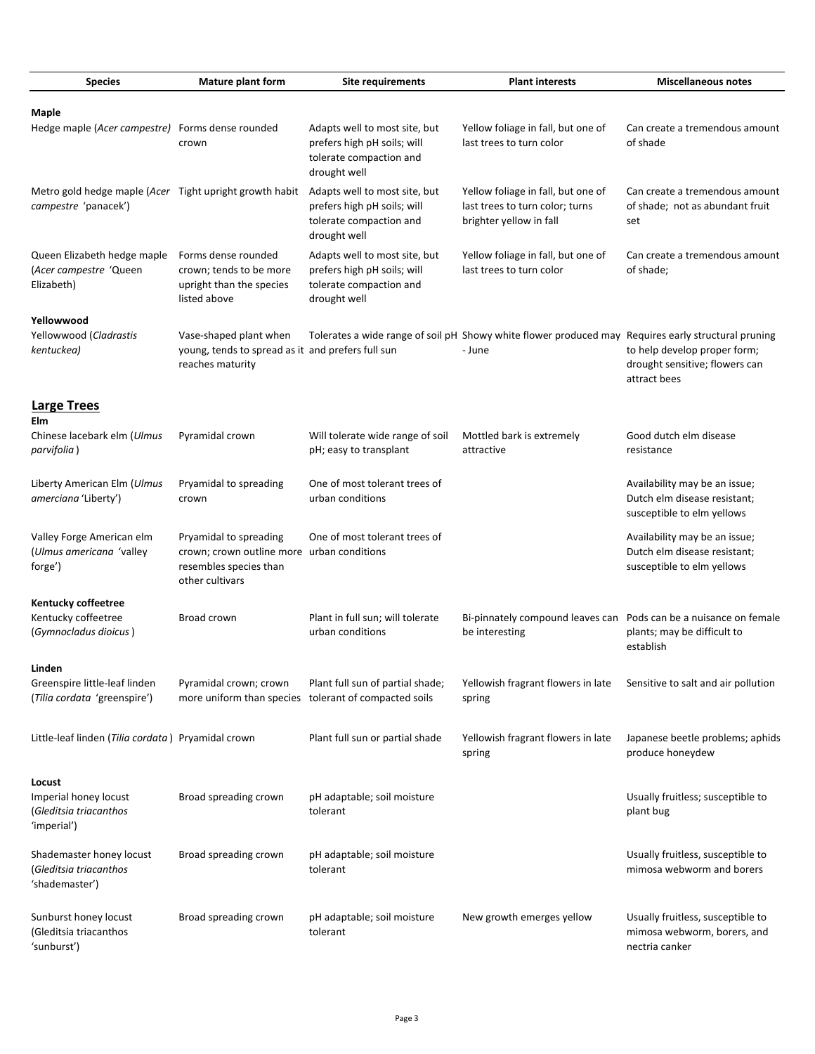| <b>Species</b>                                                                  | <b>Mature plant form</b>                                                                         | <b>Site requirements</b>                                                                                | <b>Plant interests</b>                                                                                        | <b>Miscellaneous notes</b>                                                                  |
|---------------------------------------------------------------------------------|--------------------------------------------------------------------------------------------------|---------------------------------------------------------------------------------------------------------|---------------------------------------------------------------------------------------------------------------|---------------------------------------------------------------------------------------------|
| <b>Maple</b>                                                                    |                                                                                                  |                                                                                                         |                                                                                                               |                                                                                             |
| Hedge maple (Acer campestre) Forms dense rounded                                | crown                                                                                            | Adapts well to most site, but<br>prefers high pH soils; will<br>tolerate compaction and<br>drought well | Yellow foliage in fall, but one of<br>last trees to turn color                                                | Can create a tremendous amount<br>of shade                                                  |
| Metro gold hedge maple (Acer Tight upright growth habit<br>campestre 'panacek') |                                                                                                  | Adapts well to most site, but<br>prefers high pH soils; will<br>tolerate compaction and<br>drought well | Yellow foliage in fall, but one of<br>last trees to turn color; turns<br>brighter yellow in fall              | Can create a tremendous amount<br>of shade; not as abundant fruit<br>set                    |
| Queen Elizabeth hedge maple<br>(Acer campestre 'Queen<br>Elizabeth)             | Forms dense rounded<br>crown; tends to be more<br>upright than the species<br>listed above       | Adapts well to most site, but<br>prefers high pH soils; will<br>tolerate compaction and<br>drought well | Yellow foliage in fall, but one of<br>last trees to turn color                                                | Can create a tremendous amount<br>of shade;                                                 |
| Yellowwood<br>Yellowwood (Cladrastis<br>kentuckea)                              | Vase-shaped plant when<br>young, tends to spread as it and prefers full sun<br>reaches maturity  |                                                                                                         | Tolerates a wide range of soil pH Showy white flower produced may Requires early structural pruning<br>- June | to help develop proper form;<br>drought sensitive; flowers can<br>attract bees              |
| <b>Large Trees</b>                                                              |                                                                                                  |                                                                                                         |                                                                                                               |                                                                                             |
| Elm<br>Chinese lacebark elm (Ulmus<br>parvifolia)                               | Pyramidal crown                                                                                  | Will tolerate wide range of soil<br>pH; easy to transplant                                              | Mottled bark is extremely<br>attractive                                                                       | Good dutch elm disease<br>resistance                                                        |
| Liberty American Elm (Ulmus<br>amerciana 'Liberty')                             | Pryamidal to spreading<br>crown                                                                  | One of most tolerant trees of<br>urban conditions                                                       |                                                                                                               | Availability may be an issue;<br>Dutch elm disease resistant;<br>susceptible to elm yellows |
| Valley Forge American elm<br>(Ulmus americana 'valley<br>forge')                | Pryamidal to spreading<br>crown; crown outline more<br>resembles species than<br>other cultivars | One of most tolerant trees of<br>urban conditions                                                       |                                                                                                               | Availability may be an issue;<br>Dutch elm disease resistant;<br>susceptible to elm yellows |
| <b>Kentucky coffeetree</b>                                                      |                                                                                                  |                                                                                                         |                                                                                                               |                                                                                             |
| Kentucky coffeetree<br>(Gymnocladus dioicus)                                    | Broad crown                                                                                      | Plant in full sun; will tolerate<br>urban conditions                                                    | Bi-pinnately compound leaves can<br>be interesting                                                            | Pods can be a nuisance on female<br>plants; may be difficult to<br>establish                |
| Linden                                                                          |                                                                                                  |                                                                                                         |                                                                                                               |                                                                                             |
| Greenspire little-leaf linden<br>(Tilia cordata 'greenspire')                   | Pyramidal crown; crown<br>more uniform than species                                              | Plant full sun of partial shade;<br>tolerant of compacted soils                                         | Yellowish fragrant flowers in late<br>spring                                                                  | Sensitive to salt and air pollution                                                         |

| Little-leaf linden (Tilia cordata) Pryamidal crown                       |                       | Plant full sun or partial shade         | Yellowish fragrant flowers in late<br>spring | Japanese beetle problems; aphids<br>produce honeydew                               |
|--------------------------------------------------------------------------|-----------------------|-----------------------------------------|----------------------------------------------|------------------------------------------------------------------------------------|
| Locust<br>Imperial honey locust<br>(Gleditsia triacanthos<br>'imperial') | Broad spreading crown | pH adaptable; soil moisture<br>tolerant |                                              | Usually fruitless; susceptible to<br>plant bug                                     |
| Shademaster honey locust<br>(Gleditsia triacanthos<br>'shademaster')     | Broad spreading crown | pH adaptable; soil moisture<br>tolerant |                                              | Usually fruitless, susceptible to<br>mimosa webworm and borers                     |
| Sunburst honey locust<br>(Gleditsia triacanthos<br>'sunburst')           | Broad spreading crown | pH adaptable; soil moisture<br>tolerant | New growth emerges yellow                    | Usually fruitless, susceptible to<br>mimosa webworm, borers, and<br>nectria canker |